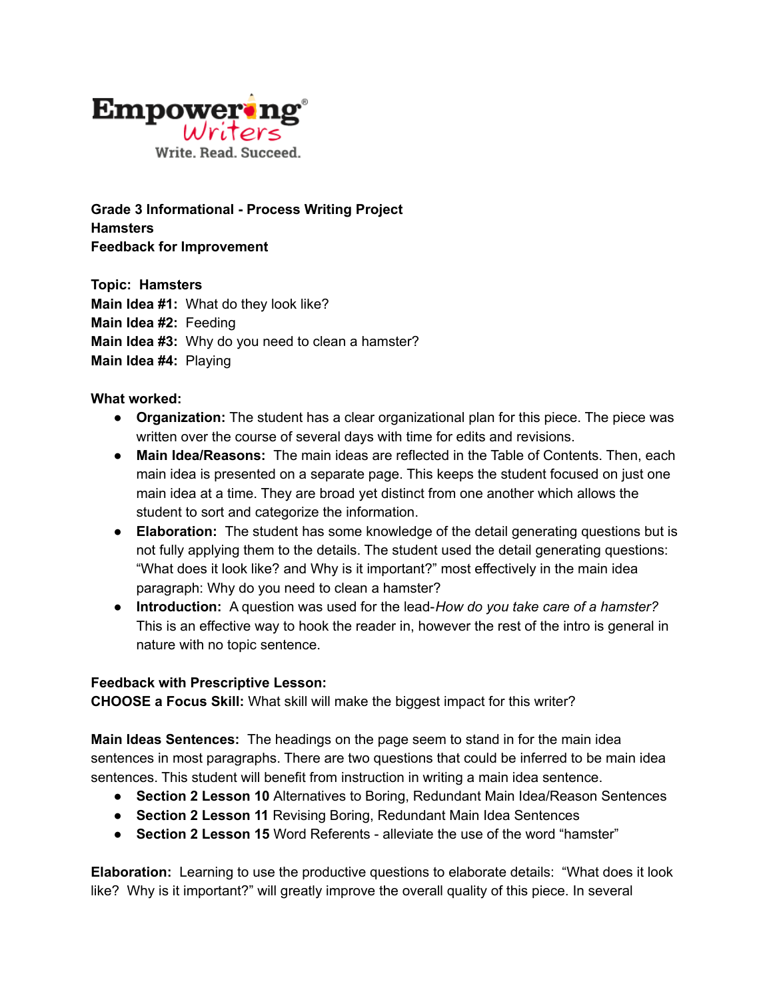

**Grade 3 Informational - Process Writing Project Hamsters Feedback for Improvement**

**Topic: Hamsters Main Idea #1:** What do they look like? **Main Idea #2:** Feeding **Main Idea #3:** Why do you need to clean a hamster? **Main Idea #4:** Playing

**What worked:**

- **Organization:** The student has a clear organizational plan for this piece. The piece was written over the course of several days with time for edits and revisions.
- **● Main Idea/Reasons:** The main ideas are reflected in the Table of Contents. Then, each main idea is presented on a separate page. This keeps the student focused on just one main idea at a time. They are broad yet distinct from one another which allows the student to sort and categorize the information.
- **Elaboration:** The student has some knowledge of the detail generating questions but is not fully applying them to the details. The student used the detail generating questions: "What does it look like? and Why is it important?" most effectively in the main idea paragraph: Why do you need to clean a hamster?
- **● Introduction:** A question was used for the lead-*How do you take care of a hamster?* This is an effective way to hook the reader in, however the rest of the intro is general in nature with no topic sentence.

## **Feedback with Prescriptive Lesson:**

**CHOOSE a Focus Skill:** What skill will make the biggest impact for this writer?

**Main Ideas Sentences:** The headings on the page seem to stand in for the main idea sentences in most paragraphs. There are two questions that could be inferred to be main idea sentences. This student will benefit from instruction in writing a main idea sentence.

- **● Section 2 Lesson 10** Alternatives to Boring, Redundant Main Idea/Reason Sentences
- **● Section 2 Lesson 11** Revising Boring, Redundant Main Idea Sentences
- **Section 2 Lesson 15** Word Referents alleviate the use of the word "hamster"

**Elaboration:** Learning to use the productive questions to elaborate details: "What does it look like? Why is it important?" will greatly improve the overall quality of this piece. In several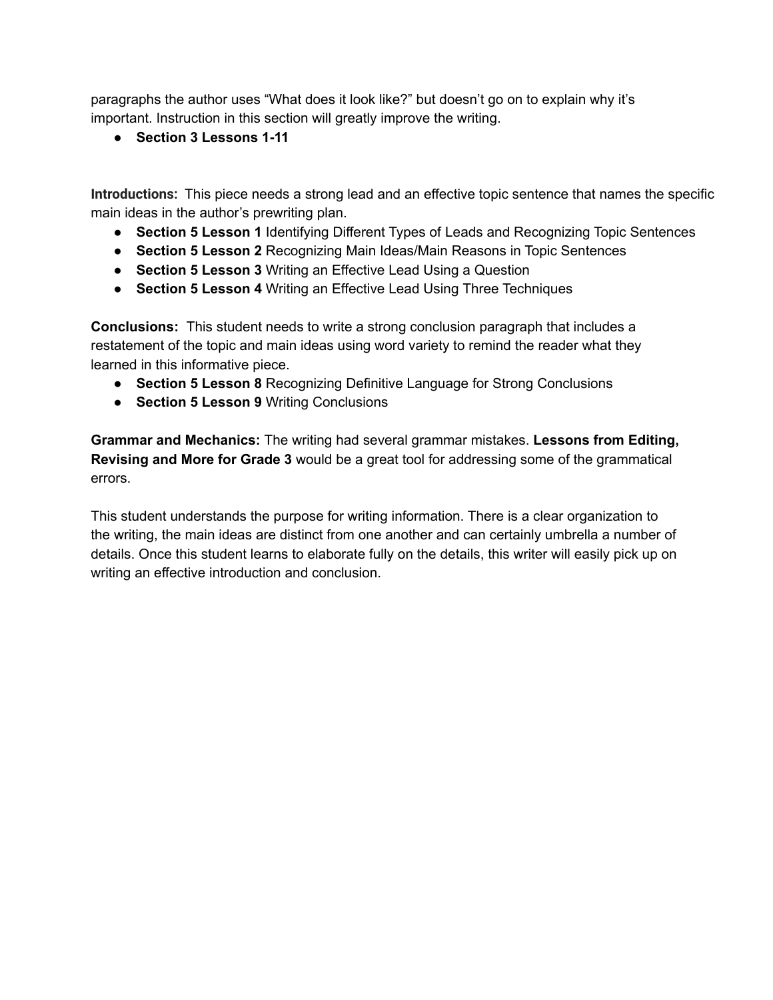paragraphs the author uses "What does it look like?" but doesn't go on to explain why it's important. Instruction in this section will greatly improve the writing.

**● Section 3 Lessons 1-11**

**Introductions:** This piece needs a strong lead and an effective topic sentence that names the specific main ideas in the author's prewriting plan.

- **● Section 5 Lesson 1** Identifying Different Types of Leads and Recognizing Topic Sentences
- **● Section 5 Lesson 2** Recognizing Main Ideas/Main Reasons in Topic Sentences
- **● Section 5 Lesson 3** Writing an Effective Lead Using a Question
- **● Section 5 Lesson 4** Writing an Effective Lead Using Three Techniques

**Conclusions:** This student needs to write a strong conclusion paragraph that includes a restatement of the topic and main ideas using word variety to remind the reader what they learned in this informative piece.

- **● Section 5 Lesson 8** Recognizing Definitive Language for Strong Conclusions
- **● Section 5 Lesson 9** Writing Conclusions

**Grammar and Mechanics:** The writing had several grammar mistakes. **Lessons from Editing, Revising and More for Grade 3** would be a great tool for addressing some of the grammatical errors.

This student understands the purpose for writing information. There is a clear organization to the writing, the main ideas are distinct from one another and can certainly umbrella a number of details. Once this student learns to elaborate fully on the details, this writer will easily pick up on writing an effective introduction and conclusion.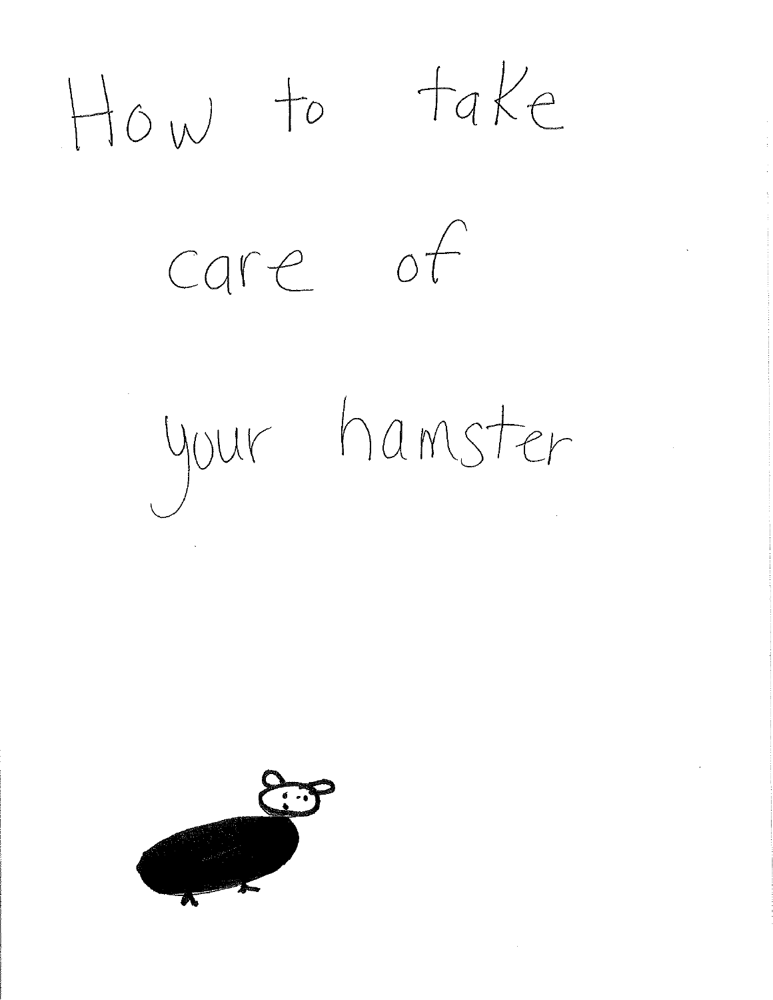$How$  to take care of your hamster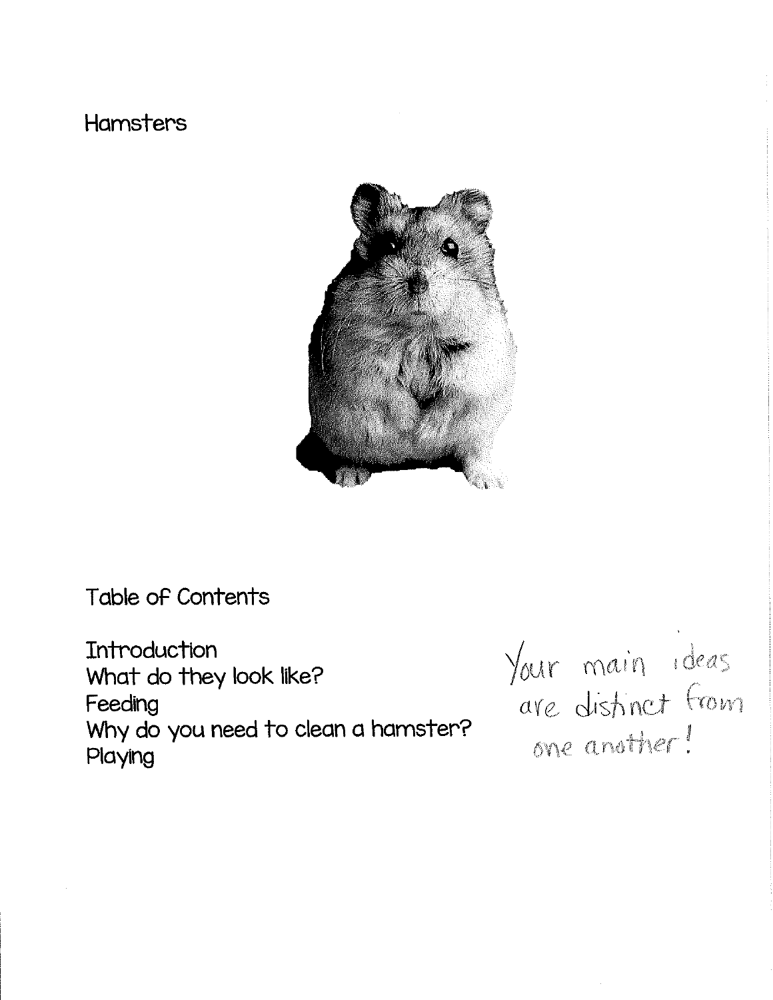## Hamsters



Table of Contents

Introduction What do they look like? Feeding Why do you need to clean a hamster? Playing

Your main ideas<br>are distinct from one another!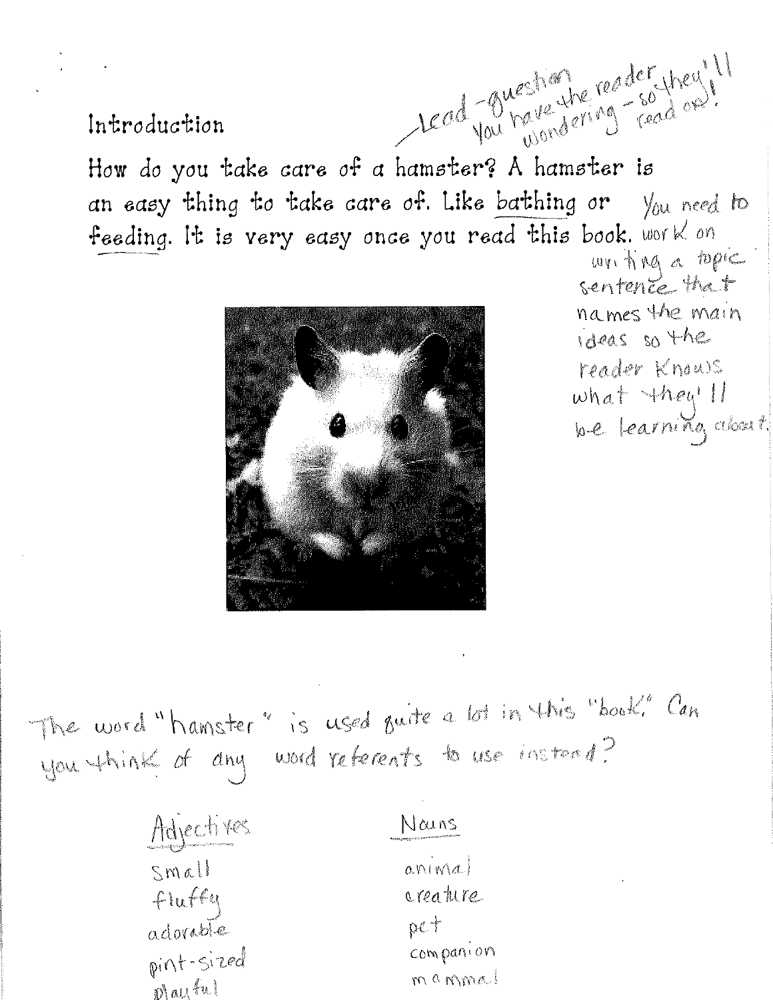Introduction

read four nous the reader they!

How do you take care of a hamster? A hamster is an easy thing to take care of. Like bathing or  $\mathcal{V}_{0}$ u need to feeding. It is very easy once you read this book. work on



win ting a topic sentente that names the main ideas so the reader Knows what they'll be learning about

The word "hamster" is used oute a lot in this "book" Can you think of any word referents to use instead?

| Adjectives       | Vouns<br><b>Fescal granges of the commental department of the</b> |
|------------------|-------------------------------------------------------------------|
| Small            | anninal                                                           |
| fluffq           | creature                                                          |
| adorable         | pct                                                               |
| pint-sized       | companion                                                         |
| $nh$ all $\{u\}$ | manmal                                                            |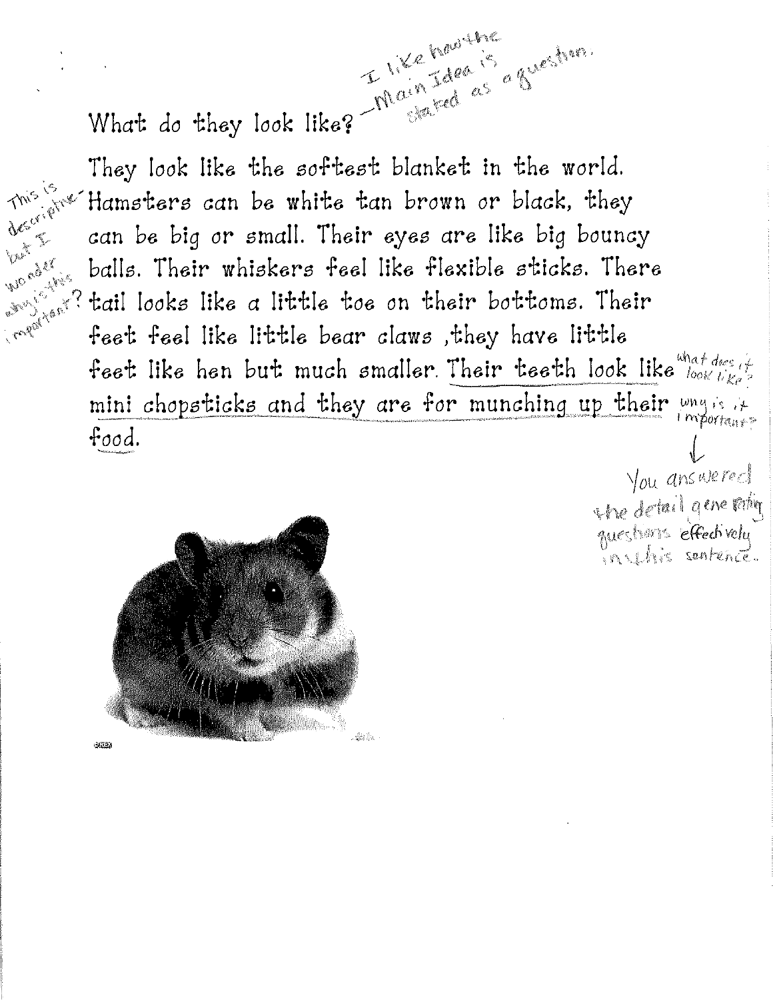**VALLEY** 

**MORALE** 

What do they look like? Thain Idea is a<br>They look like? They look like? They look like the softest blanket in the world.  $m^3$  for Hamsters can be white tan brown or black, they can be big or small. Their eyes are like big bouncy balls. Their whiskers feel like flexible sticks. There ERIC AMER Traget Hant? tail looks like a little toe on their bottoms. Their feet feel like little bear claws, they have little feet like hen but much smaller. Their teeth look like  $\frac{w_{n+1}}{w_{0k}}$ mini chopsticks and they are for munching up their ways it important? food.

ain tare is a Breaking

Sa Ba  $2733$ 

You answered the detail gene ratin questions effectively in this sentence.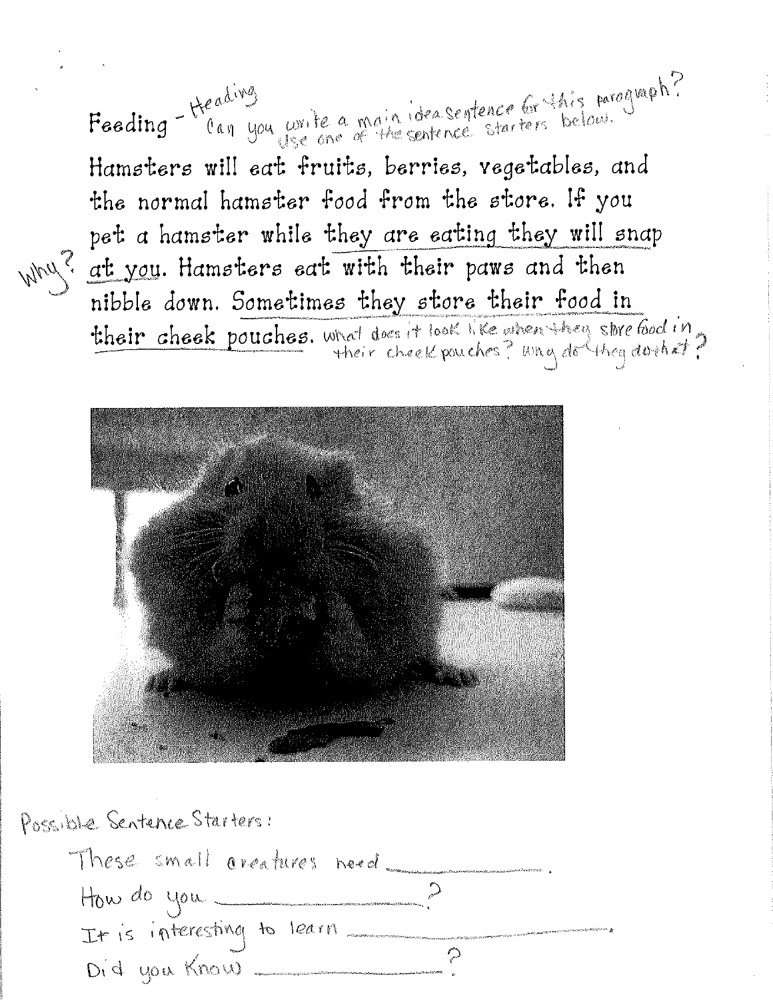Feeding - Heading<br>Feeding - Can you write a main ideasentence or this paragraph? Hamsters will eat fruits, berries, vegetables, and the normal hamster food from the store. If you pet a hamster while they are eating they will snap why? at you. Hamsters eat with their paws and then nibble down. Sometimes they store their food in their cheek pouches. What does it look like when they store food in



Possible Sentence Starters:

| These small areatures need. | mathematic control and complete the control of the second con- |
|-----------------------------|----------------------------------------------------------------|
| How do you                  |                                                                |
| It is interesting to learn  |                                                                |
|                             | Did you Know                                                   |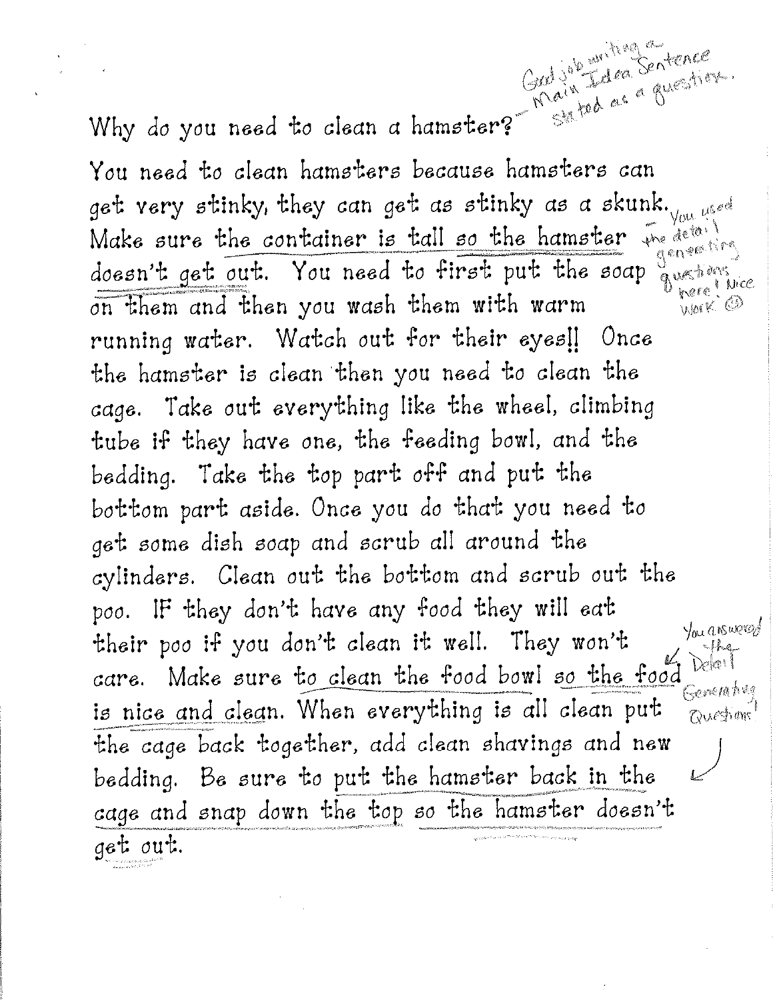Why do you need to clean a hamster? Sated as a guestion get very stinky, they can get as stinky as a skunk. Vou used Make sure the container is tall so the hamster we detail geneating doesn't get out. You need to first put the soap nere Wice on them and then you wash them with warm WAIK @ running water. Watch out for their eyes !! Once the hamster is clean then you need to clean the cage. Take out everything like the wheel, climbing tube if they have one, the feeding bowl, and the bedding. Take the top part off and put the bottom part aside. Once you do that you need to get some dish soap and scrub all around the cylinders. Clean out the bottom and scrub out the poo. IF they don't have any food they will eat You answered their poo if you don't clean it well. They won't  $-1ka$ Dela<sup>1</sup> care. Make sure to clean the food bowl so the food Generativa is nice and clean. When everything is all clean put Questions the cage back together, add clean shavings and new bedding. Be sure to put the hamster back in the cage and snap down the top so the hamster doesn't get out.

Good job an iting a

stated as a guestion.